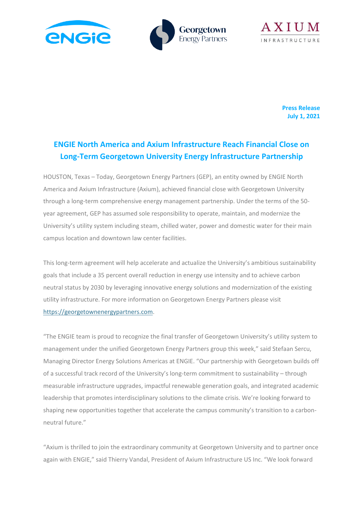





**Press Release July 1, 2021**

# **ENGIE North America and Axium Infrastructure Reach Financial Close on Long-Term Georgetown University Energy Infrastructure Partnership**

HOUSTON, Texas – Today, Georgetown Energy Partners (GEP), an entity owned by ENGIE North America and Axium Infrastructure (Axium), achieved financial close with Georgetown University through a long-term comprehensive energy management partnership. Under the terms of the 50 year agreement, GEP has assumed sole responsibility to operate, maintain, and modernize the University's utility system including steam, chilled water, power and domestic water for their main campus location and downtown law center facilities.

This long-term agreement will help accelerate and actualize the University's ambitious sustainability goals that include a 35 percent overall reduction in energy use intensity and to achieve carbon neutral status by 2030 by leveraging innovative energy solutions and modernization of the existing utility infrastructure. For more information on Georgetown Energy Partners please visit [https://georgetownenergypartners.com.](https://georgetownenergypartners.com/)

"The ENGIE team is proud to recognize the final transfer of Georgetown University's utility system to management under the unified Georgetown Energy Partners group this week," said Stefaan Sercu, Managing Director Energy Solutions Americas at ENGIE. "Our partnership with Georgetown builds off of a successful track record of the University's long-term commitment to sustainability – through measurable infrastructure upgrades, impactful renewable generation goals, and integrated academic leadership that promotes interdisciplinary solutions to the climate crisis. We're looking forward to shaping new opportunities together that accelerate the campus community's transition to a carbonneutral future."

"Axium is thrilled to join the extraordinary community at Georgetown University and to partner once again with ENGIE," said Thierry Vandal, President of Axium Infrastructure US Inc. "We look forward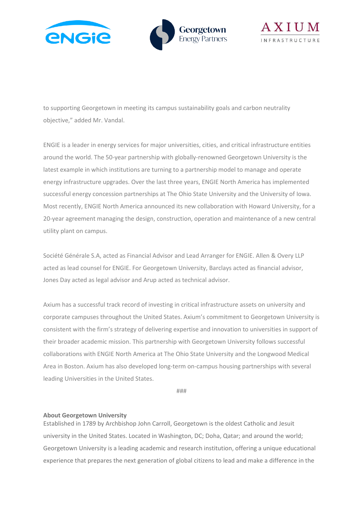





to supporting Georgetown in meeting its campus sustainability goals and carbon neutrality objective," added Mr. Vandal.

ENGIE is a leader in energy services for major universities, cities, and critical infrastructure entities around the world. The 50-year partnership with globally-renowned Georgetown University is the latest example in which institutions are turning to a partnership model to manage and operate energy infrastructure upgrades. Over the last three years, ENGIE North America has implemented successful energy concession partnerships at The Ohio State University and the University of Iowa. Most recently, ENGIE North America announced its new collaboration with Howard University, for a 20-year agreement managing the design, construction, operation and maintenance of a new central utility plant on campus.

Société Générale S.A, acted as Financial Advisor and Lead Arranger for ENGIE. Allen & Overy LLP acted as lead counsel for ENGIE. For Georgetown University, Barclays acted as financial advisor, Jones Day acted as legal advisor and Arup acted as technical advisor.

Axium has a successful track record of investing in critical infrastructure assets on university and corporate campuses throughout the United States. Axium's commitment to Georgetown University is consistent with the firm's strategy of delivering expertise and innovation to universities in support of their broader academic mission. This partnership with Georgetown University follows successful collaborations with ENGIE North America at The Ohio State University and the Longwood Medical Area in Boston. Axium has also developed long-term on-campus housing partnerships with several leading Universities in the United States.

###

## **About Georgetown University**

Established in 1789 by Archbishop John Carroll, Georgetown is the oldest Catholic and Jesuit university in the United States. Located in Washington, DC; Doha, Qatar; and around the world; Georgetown University is a leading academic and research institution, offering a unique educational experience that prepares the next generation of global citizens to lead and make a difference in the